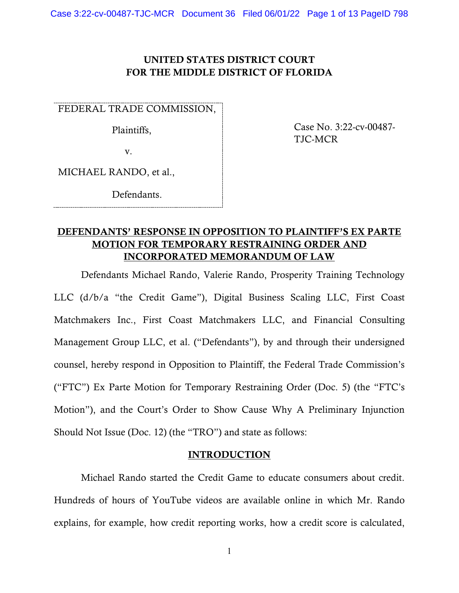## UNITED STATES DISTRICT COURT FOR THE MIDDLE DISTRICT OF FLORIDA

FEDERAL TRADE COMMISSION,

Plaintiffs,

v.

MICHAEL RANDO, et al.,

Defendants.

## Case No. 3:22-cv-00487- TJC-MCR

## DEFENDANTS' RESPONSE IN OPPOSITION TO PLAINTIFF'S EX PARTE MOTION FOR TEMPORARY RESTRAINING ORDER AND INCORPORATED MEMORANDUM OF LAW

Defendants Michael Rando, Valerie Rando, Prosperity Training Technology LLC (d/b/a "the Credit Game"), Digital Business Scaling LLC, First Coast Matchmakers Inc., First Coast Matchmakers LLC, and Financial Consulting Management Group LLC, et al. ("Defendants"), by and through their undersigned counsel, hereby respond in Opposition to Plaintiff, the Federal Trade Commission's ("FTC") Ex Parte Motion for Temporary Restraining Order (Doc. 5) (the "FTC's Motion"), and the Court's Order to Show Cause Why A Preliminary Injunction Should Not Issue (Doc. 12) (the "TRO") and state as follows:

## **INTRODUCTION**

Michael Rando started the Credit Game to educate consumers about credit. Hundreds of hours of YouTube videos are available online in which Mr. Rando explains, for example, how credit reporting works, how a credit score is calculated,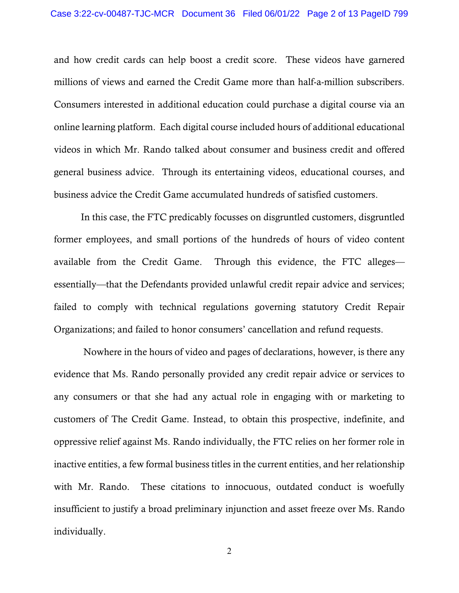and how credit cards can help boost a credit score. These videos have garnered millions of views and earned the Credit Game more than half-a-million subscribers. Consumers interested in additional education could purchase a digital course via an online learning platform. Each digital course included hours of additional educational videos in which Mr. Rando talked about consumer and business credit and offered general business advice. Through its entertaining videos, educational courses, and business advice the Credit Game accumulated hundreds of satisfied customers.

In this case, the FTC predicably focusses on disgruntled customers, disgruntled former employees, and small portions of the hundreds of hours of video content available from the Credit Game. Through this evidence, the FTC alleges essentially—that the Defendants provided unlawful credit repair advice and services; failed to comply with technical regulations governing statutory Credit Repair Organizations; and failed to honor consumers' cancellation and refund requests.

Nowhere in the hours of video and pages of declarations, however, is there any evidence that Ms. Rando personally provided any credit repair advice or services to any consumers or that she had any actual role in engaging with or marketing to customers of The Credit Game. Instead, to obtain this prospective, indefinite, and oppressive relief against Ms. Rando individually, the FTC relies on her former role in inactive entities, a few formal business titles in the current entities, and her relationship with Mr. Rando. These citations to innocuous, outdated conduct is woefully insufficient to justify a broad preliminary injunction and asset freeze over Ms. Rando individually.

2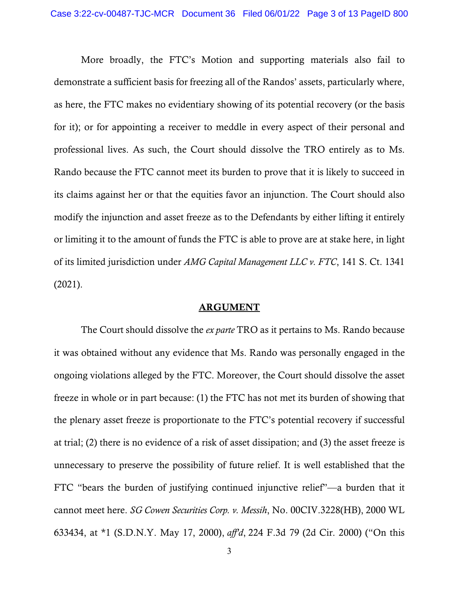More broadly, the FTC's Motion and supporting materials also fail to demonstrate a sufficient basis for freezing all of the Randos' assets, particularly where, as here, the FTC makes no evidentiary showing of its potential recovery (or the basis for it); or for appointing a receiver to meddle in every aspect of their personal and professional lives. As such, the Court should dissolve the TRO entirely as to Ms. Rando because the FTC cannot meet its burden to prove that it is likely to succeed in its claims against her or that the equities favor an injunction. The Court should also modify the injunction and asset freeze as to the Defendants by either lifting it entirely or limiting it to the amount of funds the FTC is able to prove are at stake here, in light of its limited jurisdiction under *AMG Capital Management LLC v. FTC*, 141 S. Ct. 1341 (2021).

#### ARGUMENT

The Court should dissolve the *ex parte* TRO as it pertains to Ms. Rando because it was obtained without any evidence that Ms. Rando was personally engaged in the ongoing violations alleged by the FTC. Moreover, the Court should dissolve the asset freeze in whole or in part because: (1) the FTC has not met its burden of showing that the plenary asset freeze is proportionate to the FTC's potential recovery if successful at trial; (2) there is no evidence of a risk of asset dissipation; and (3) the asset freeze is unnecessary to preserve the possibility of future relief. It is well established that the FTC "bears the burden of justifying continued injunctive relief"—a burden that it cannot meet here. *SG Cowen Securities Corp. v. Messih*, No. 00CIV.3228(HB), 2000 WL 633434, at \*1 (S.D.N.Y. May 17, 2000), *aff'd*, 224 F.3d 79 (2d Cir. 2000) ("On this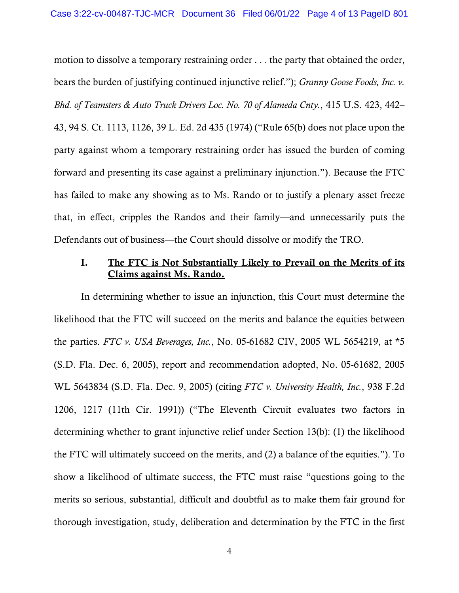motion to dissolve a temporary restraining order . . . the party that obtained the order, bears the burden of justifying continued injunctive relief."); *Granny Goose Foods, Inc. v. Bhd. of Teamsters & Auto Truck Drivers Loc. No. 70 of Alameda Cnty.*, 415 U.S. 423, 442– 43, 94 S. Ct. 1113, 1126, 39 L. Ed. 2d 435 (1974) ("Rule 65(b) does not place upon the party against whom a temporary restraining order has issued the burden of coming forward and presenting its case against a preliminary injunction."). Because the FTC has failed to make any showing as to Ms. Rando or to justify a plenary asset freeze that, in effect, cripples the Randos and their family—and unnecessarily puts the Defendants out of business—the Court should dissolve or modify the TRO.

### I. The FTC is Not Substantially Likely to Prevail on the Merits of its Claims against Ms. Rando.

In determining whether to issue an injunction, this Court must determine the likelihood that the FTC will succeed on the merits and balance the equities between the parties. *FTC v. USA Beverages, Inc.*, No. 05-61682 CIV, 2005 WL 5654219, at \*5 (S.D. Fla. Dec. 6, 2005), report and recommendation adopted, No. 05-61682, 2005 WL 5643834 (S.D. Fla. Dec. 9, 2005) (citing *FTC v. University Health, Inc.*, 938 F.2d 1206, 1217 (11th Cir. 1991)) ("The Eleventh Circuit evaluates two factors in determining whether to grant injunctive relief under Section 13(b): (1) the likelihood the FTC will ultimately succeed on the merits, and (2) a balance of the equities."). To show a likelihood of ultimate success, the FTC must raise "questions going to the merits so serious, substantial, difficult and doubtful as to make them fair ground for thorough investigation, study, deliberation and determination by the FTC in the first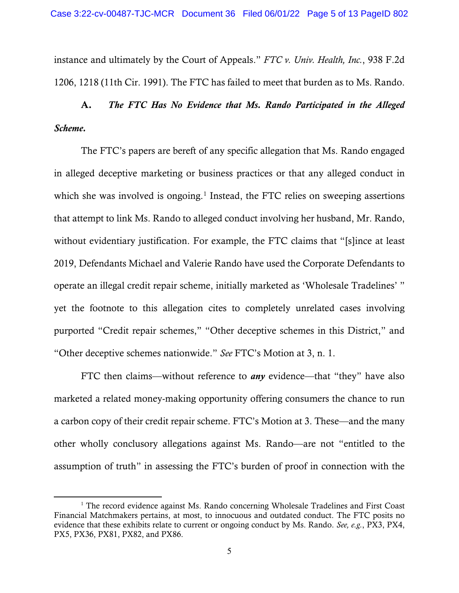instance and ultimately by the Court of Appeals." *FTC v. Univ. Health, Inc.*, 938 F.2d 1206, 1218 (11th Cir. 1991). The FTC has failed to meet that burden as to Ms. Rando.

# A. *The FTC Has No Evidence that Ms. Rando Participated in the Alleged Scheme.*

The FTC's papers are bereft of any specific allegation that Ms. Rando engaged in alleged deceptive marketing or business practices or that any alleged conduct in which she was involved is ongoing.<sup>[1](#page-10-0)</sup> Instead, the FTC relies on sweeping assertions that attempt to link Ms. Rando to alleged conduct involving her husband, Mr. Rando, without evidentiary justification. For example, the FTC claims that "[s]ince at least 2019, Defendants Michael and Valerie Rando have used the Corporate Defendants to operate an illegal credit repair scheme, initially marketed as 'Wholesale Tradelines' " yet the footnote to this allegation cites to completely unrelated cases involving purported "Credit repair schemes," "Other deceptive schemes in this District," and "Other deceptive schemes nationwide." *See* FTC's Motion at 3, n. 1.

FTC then claims—without reference to *any* evidence—that "they" have also marketed a related money-making opportunity offering consumers the chance to run a carbon copy of their credit repair scheme. FTC's Motion at 3. These—and the many other wholly conclusory allegations against Ms. Rando—are not "entitled to the assumption of truth" in assessing the FTC's burden of proof in connection with the

<sup>&</sup>lt;sup>1</sup> The record evidence against Ms. Rando concerning Wholesale Tradelines and First Coast Financial Matchmakers pertains, at most, to innocuous and outdated conduct. The FTC posits no evidence that these exhibits relate to current or ongoing conduct by Ms. Rando. *See, e.g.*, PX3, PX4, PX5, PX36, PX81, PX82, and PX86.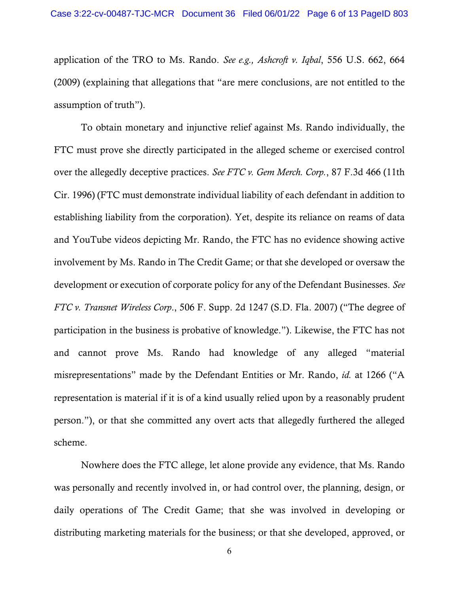application of the TRO to Ms. Rando. *See e.g., Ashcroft v. Iqbal*, 556 U.S. 662, 664 (2009) (explaining that allegations that "are mere conclusions, are not entitled to the assumption of truth").

To obtain monetary and injunctive relief against Ms. Rando individually, the FTC must prove she directly participated in the alleged scheme or exercised control over the allegedly deceptive practices. *See FTC v. Gem Merch. Corp.*, 87 F.3d 466 (11th Cir. 1996) (FTC must demonstrate individual liability of each defendant in addition to establishing liability from the corporation). Yet, despite its reliance on reams of data and YouTube videos depicting Mr. Rando, the FTC has no evidence showing active involvement by Ms. Rando in The Credit Game; or that she developed or oversaw the development or execution of corporate policy for any of the Defendant Businesses. *See FTC v. Transnet Wireless Corp*., 506 F. Supp. 2d 1247 (S.D. Fla. 2007) ("The degree of participation in the business is probative of knowledge."). Likewise, the FTC has not and cannot prove Ms. Rando had knowledge of any alleged "material misrepresentations" made by the Defendant Entities or Mr. Rando, *id.* at 1266 ("A representation is material if it is of a kind usually relied upon by a reasonably prudent person."), or that she committed any overt acts that allegedly furthered the alleged scheme.

Nowhere does the FTC allege, let alone provide any evidence, that Ms. Rando was personally and recently involved in, or had control over, the planning, design, or daily operations of The Credit Game; that she was involved in developing or distributing marketing materials for the business; or that she developed, approved, or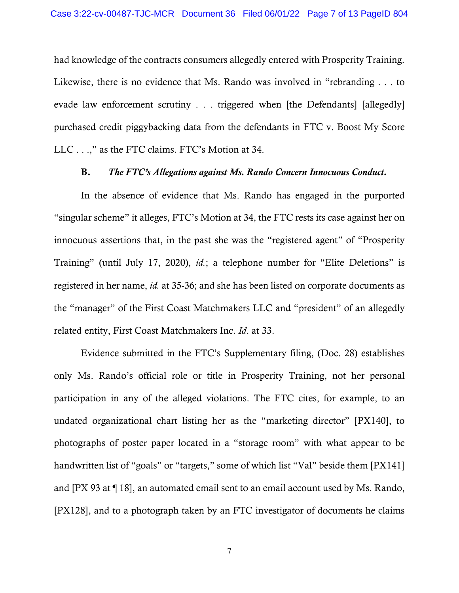had knowledge of the contracts consumers allegedly entered with Prosperity Training. Likewise, there is no evidence that Ms. Rando was involved in "rebranding . . . to evade law enforcement scrutiny . . . triggered when [the Defendants] [allegedly] purchased credit piggybacking data from the defendants in FTC v. Boost My Score LLC . . .," as the FTC claims. FTC's Motion at 34.

### B. *The FTC's Allegations against Ms. Rando Concern Innocuous Conduct.*

In the absence of evidence that Ms. Rando has engaged in the purported "singular scheme" it alleges, FTC's Motion at 34, the FTC rests its case against her on innocuous assertions that, in the past she was the "registered agent" of "Prosperity Training" (until July 17, 2020), *id.*; a telephone number for "Elite Deletions" is registered in her name, *id.* at 35-36; and she has been listed on corporate documents as the "manager" of the First Coast Matchmakers LLC and "president" of an allegedly related entity, First Coast Matchmakers Inc. *Id*. at 33.

Evidence submitted in the FTC's Supplementary filing, (Doc. 28) establishes only Ms. Rando's official role or title in Prosperity Training, not her personal participation in any of the alleged violations. The FTC cites, for example, to an undated organizational chart listing her as the "marketing director" [PX140], to photographs of poster paper located in a "storage room" with what appear to be handwritten list of "goals" or "targets," some of which list "Val" beside them [PX141] and [PX 93 at ¶ 18], an automated email sent to an email account used by Ms. Rando, [PX128], and to a photograph taken by an FTC investigator of documents he claims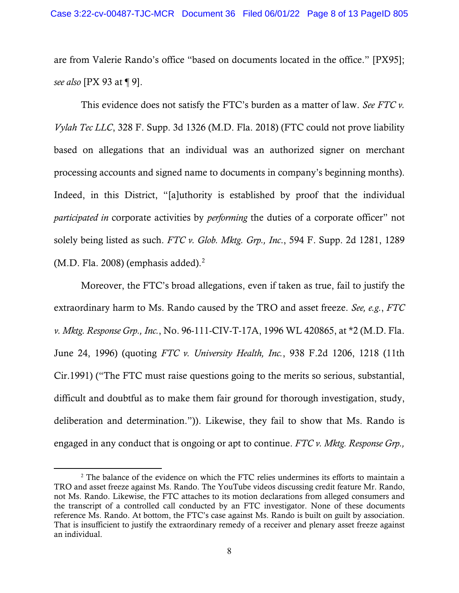are from Valerie Rando's office "based on documents located in the office." [PX95]; *see also* [PX 93 at ¶ 9].

This evidence does not satisfy the FTC's burden as a matter of law. *See FTC v. Vylah Tec LLC*, 328 F. Supp. 3d 1326 (M.D. Fla. 2018) (FTC could not prove liability based on allegations that an individual was an authorized signer on merchant processing accounts and signed name to documents in company's beginning months). Indeed, in this District, "[a]uthority is established by proof that the individual *participated in* corporate activities by *performing* the duties of a corporate officer" not solely being listed as such. *FTC v. Glob. Mktg. Grp., Inc*., 594 F. Supp. 2d 1281, 1289 (M.D. Fla. [2](#page-10-0)008) (emphasis added). $<sup>2</sup>$ </sup>

Moreover, the FTC's broad allegations, even if taken as true, fail to justify the extraordinary harm to Ms. Rando caused by the TRO and asset freeze. *See, e.g.*, *FTC v. Mktg. Response Grp., Inc.*, No. 96-111-CIV-T-17A, 1996 WL 420865, at \*2 (M.D. Fla. June 24, 1996) (quoting *FTC v. University Health, Inc.*, 938 F.2d 1206, 1218 (11th Cir.1991) ("The FTC must raise questions going to the merits so serious, substantial, difficult and doubtful as to make them fair ground for thorough investigation, study, deliberation and determination.")). Likewise, they fail to show that Ms. Rando is engaged in any conduct that is ongoing or apt to continue. *FTC v. Mktg. Response Grp.,* 

<sup>&</sup>lt;sup>2</sup> The balance of the evidence on which the FTC relies undermines its efforts to maintain a TRO and asset freeze against Ms. Rando. The YouTube videos discussing credit feature Mr. Rando, not Ms. Rando. Likewise, the FTC attaches to its motion declarations from alleged consumers and the transcript of a controlled call conducted by an FTC investigator. None of these documents reference Ms. Rando. At bottom, the FTC's case against Ms. Rando is built on guilt by association. That is insufficient to justify the extraordinary remedy of a receiver and plenary asset freeze against an individual.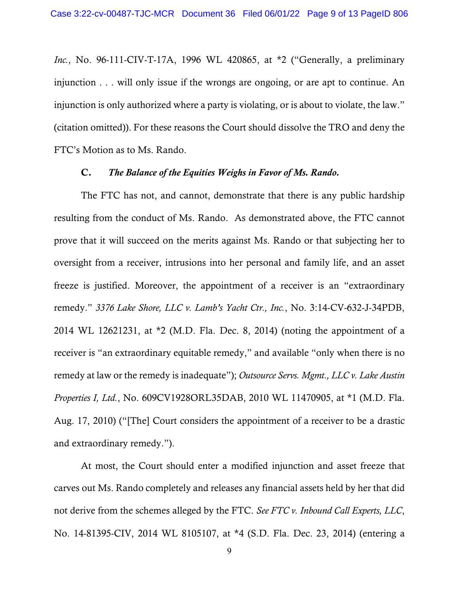*Inc.*, No. 96-111-CIV-T-17A, 1996 WL 420865, at \*2 ("Generally, a preliminary injunction . . . will only issue if the wrongs are ongoing, or are apt to continue. An injunction is only authorized where a party is violating, or is about to violate, the law." (citation omitted)). For these reasons the Court should dissolve the TRO and deny the FTC's Motion as to Ms. Rando.

### C. *The Balance of the Equities Weighs in Favor of Ms. Rando.*

The FTC has not, and cannot, demonstrate that there is any public hardship resulting from the conduct of Ms. Rando. As demonstrated above, the FTC cannot prove that it will succeed on the merits against Ms. Rando or that subjecting her to oversight from a receiver, intrusions into her personal and family life, and an asset freeze is justified. Moreover, the appointment of a receiver is an "extraordinary remedy." *3376 Lake Shore, LLC v. Lamb's Yacht Ctr., Inc.*, No. 3:14-CV-632-J-34PDB, 2014 WL 12621231, at \*2 (M.D. Fla. Dec. 8, 2014) (noting the appointment of a receiver is "an extraordinary equitable remedy," and available "only when there is no remedy at law or the remedy is inadequate"); *Outsource Servs. Mgmt., LLC v. Lake Austin Properties I, Ltd.*, No. 609CV1928ORL35DAB, 2010 WL 11470905, at \*1 (M.D. Fla. Aug. 17, 2010) ("[The] Court considers the appointment of a receiver to be a drastic and extraordinary remedy.").

At most, the Court should enter a modified injunction and asset freeze that carves out Ms. Rando completely and releases any financial assets held by her that did not derive from the schemes alleged by the FTC. *See FTC v. Inbound Call Experts, LLC*, No. 14-81395-CIV, 2014 WL 8105107, at \*4 (S.D. Fla. Dec. 23, 2014) (entering a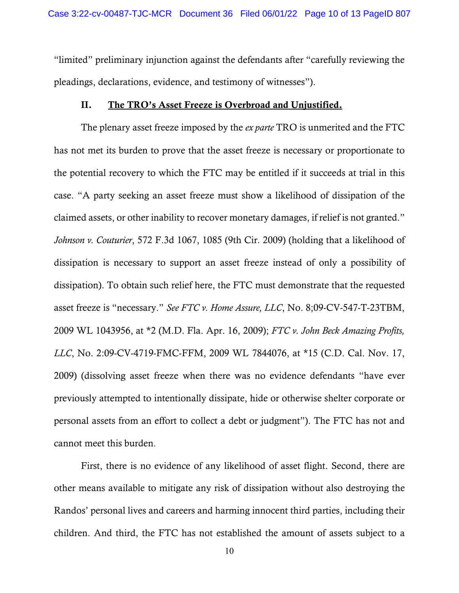"limited" preliminary injunction against the defendants after "carefully reviewing the pleadings, declarations, evidence, and testimony of witnesses").

### II. The TRO's Asset Freeze is Overbroad and Unjustified.

The plenary asset freeze imposed by the *ex parte* TRO is unmerited and the FTC has not met its burden to prove that the asset freeze is necessary or proportionate to the potential recovery to which the FTC may be entitled if it succeeds at trial in this case. "A party seeking an asset freeze must show a likelihood of dissipation of the claimed assets, or other inability to recover monetary damages, if relief is not granted." *Johnson v. Couturier*, 572 F.3d 1067, 1085 (9th Cir. 2009) (holding that a likelihood of dissipation is necessary to support an asset freeze instead of only a possibility of dissipation). To obtain such relief here, the FTC must demonstrate that the requested asset freeze is "necessary." *See FTC v. Home Assure, LLC*, No. 8;09-CV-547-T-23TBM, 2009 WL 1043956, at \*2 (M.D. Fla. Apr. 16, 2009); *FTC v. John Beck Amazing Profits, LLC*, No. 2:09-CV-4719-FMC-FFM, 2009 WL 7844076, at \*15 (C.D. Cal. Nov. 17, 2009) (dissolving asset freeze when there was no evidence defendants "have ever previously attempted to intentionally dissipate, hide or otherwise shelter corporate or personal assets from an effort to collect a debt or judgment"). The FTC has not and cannot meet this burden.

First, there is no evidence of any likelihood of asset flight. Second, there are other means available to mitigate any risk of dissipation without also destroying the Randos' personal lives and careers and harming innocent third parties, including their children. And third, the FTC has not established the amount of assets subject to a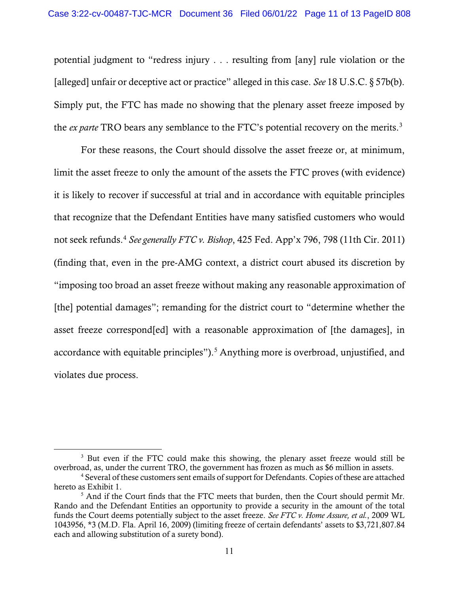potential judgment to "redress injury . . . resulting from [any] rule violation or the [alleged] unfair or deceptive act or practice" alleged in this case. *See* 18 U.S.C. § 57b(b). Simply put, the FTC has made no showing that the plenary asset freeze imposed by the *ex parte* TRO bears any semblance to the FTC's potential recovery on the merits. [3](#page-10-0)

For these reasons, the Court should dissolve the asset freeze or, at minimum, limit the asset freeze to only the amount of the assets the FTC proves (with evidence) it is likely to recover if successful at trial and in accordance with equitable principles that recognize that the Defendant Entities have many satisfied customers who would not seek refunds. [4](#page-10-0) *See generally FTC v. Bishop*, 425 Fed. App'x 796, 798 (11th Cir. 2011) (finding that, even in the pre-AMG context, a district court abused its discretion by "imposing too broad an asset freeze without making any reasonable approximation of [the] potential damages"; remanding for the district court to "determine whether the asset freeze correspond[ed] with a reasonable approximation of [the damages], in accordance with equitable principles").<sup>[5](#page-10-0)</sup> Anything more is overbroad, unjustified, and violates due process.

<sup>&</sup>lt;sup>3</sup> But even if the FTC could make this showing, the plenary asset freeze would still be overbroad, as, under the current TRO, the government has frozen as much as \$6 million in assets.

<sup>&</sup>lt;sup>4</sup> Several of these customers sent emails of support for Defendants. Copies of these are attached hereto as Exhibit 1.

<span id="page-10-0"></span><sup>&</sup>lt;sup>5</sup> And if the Court finds that the FTC meets that burden, then the Court should permit Mr. Rando and the Defendant Entities an opportunity to provide a security in the amount of the total funds the Court deems potentially subject to the asset freeze. *See FTC v. Home Assure, et al.*, 2009 WL 1043956, \*3 (M.D. Fla. April 16, 2009) (limiting freeze of certain defendants' assets to \$3,721,807.84 each and allowing substitution of a surety bond).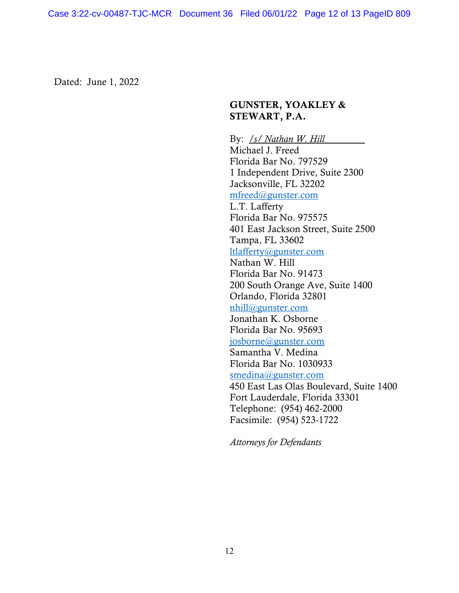Dated: June 1, 2022

## GUNSTER, YOAKLEY & STEWART, P.A.

By: */s/ Nathan W. Hill* Michael J. Freed Florida Bar No. 797529 1 Independent Drive, Suite 2300 Jacksonville, FL 32202 [mfreed@gunster.com](mailto:mfreed@gunster.com) L.T. Lafferty Florida Bar No. 975575 401 East Jackson Street, Suite 2500 Tampa, FL 33602 [ltlafferty@gunster.com](mailto:ltlafferty@gunster.com) Nathan W. Hill Florida Bar No. 91473 200 South Orange Ave, Suite 1400 Orlando, Florida 32801 [nhill@gunster.com](mailto:nhill@gunster.com) Jonathan K. Osborne Florida Bar No. 95693 [josborne@gunster.com](mailto:josborne@gunster.com) Samantha V. Medina Florida Bar No. 1030933 [smedina@gunster.com](mailto:smedina@gunster.com) 450 East Las Olas Boulevard, Suite 1400 Fort Lauderdale, Florida 33301 Telephone: (954) 462-2000 Facsimile: (954) 523-1722

*Attorneys for Defendants*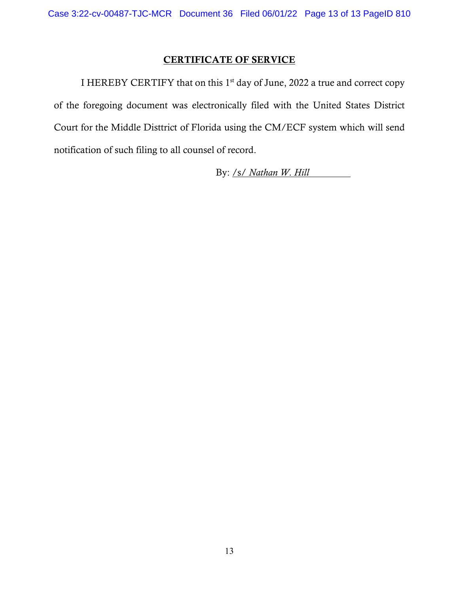## CERTIFICATE OF SERVICE

I HEREBY CERTIFY that on this  $1<sup>st</sup>$  day of June, 2022 a true and correct copy of the foregoing document was electronically filed with the United States District Court for the Middle Disttrict of Florida using the CM/ECF system which will send notification of such filing to all counsel of record.

By: /s/ *Nathan W. Hill*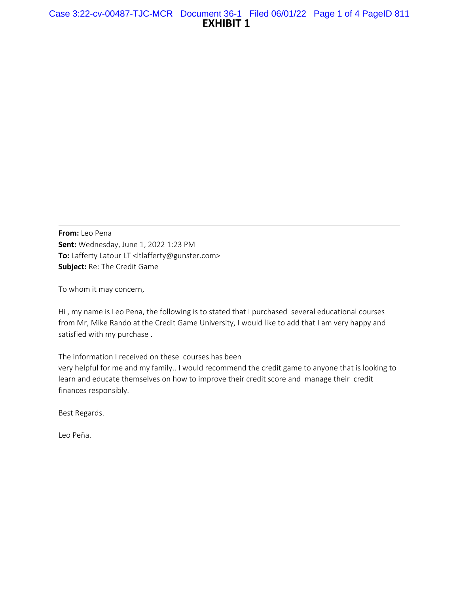**From:** Leo Pena **Sent:** Wednesday, June 1, 2022 1:23 PM **To:** Lafferty Latour LT <ltlafferty@gunster.com> **Subject:** Re: The Credit Game

To whom it may concern,

Hi , my name is Leo Pena, the following is to stated that I purchased several educational courses from Mr, Mike Rando at the Credit Game University, I would like to add that I am very happy and satisfied with my purchase .

The information I received on these courses has been

very helpful for me and my family.. I would recommend the credit game to anyone that is looking to learn and educate themselves on how to improve their credit score and manage their credit finances responsibly.

Best Regards.

Leo Peña.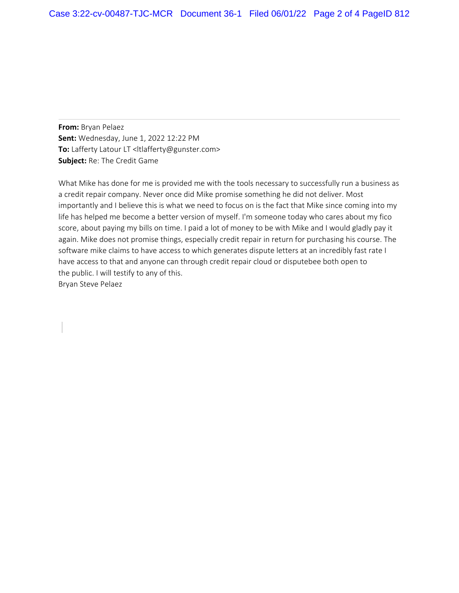**From:** Bryan Pelaez **Sent:** Wednesday, June 1, 2022 12:22 PM **To:** Lafferty Latour LT <ltlafferty@gunster.com> **Subject:** Re: The Credit Game

What Mike has done for me is provided me with the tools necessary to successfully run a business as a credit repair company. Never once did Mike promise something he did not deliver. Most importantly and I believe this is what we need to focus on is the fact that Mike since coming into my life has helped me become a better version of myself. I'm someone today who cares about my fico score, about paying my bills on time. I paid a lot of money to be with Mike and I would gladly pay it again. Mike does not promise things, especially credit repair in return for purchasing his course. The software mike claims to have access to which generates dispute letters at an incredibly fast rate I have access to that and anyone can through credit repair cloud or disputebee both open to the public. I will testify to any of this. Bryan Steve Pelaez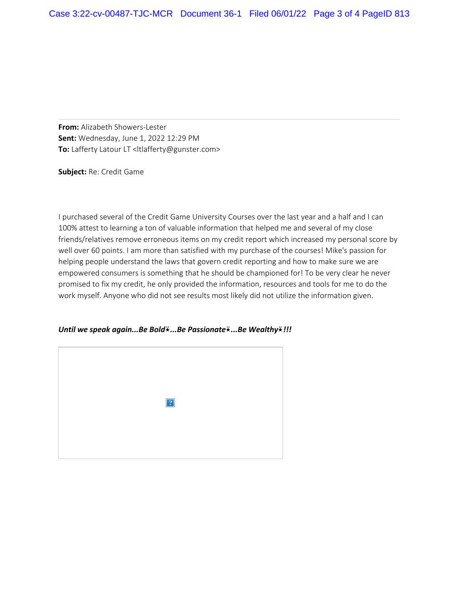**From:** Alizabeth Showers-Lester **Sent:** Wednesday, June 1, 2022 12:29 PM **To:** Lafferty Latour LT <ltlafferty@gunster.com>

**Subject:** Re: Credit Game

I purchased several of the Credit Game University Courses over the last year and a half and I can 100% attest to learning a ton of valuable information that helped me and several of my close friends/relatives remove erroneous items on my credit report which increased my personal score by well over 60 points. I am more than satisfied with my purchase of the courses! Mike's passion for helping people understand the laws that govern credit reporting and how to make sure we are empowered consumers is something that he should be championed for! To be very clear he never promised to fix my credit, he only provided the information, resources and tools for me to do the work myself. Anyone who did not see results most likely did not utilize the information given.

*Until we speak again...Be Bold*⍣*...Be Passionate*⍣*...Be Wealthy*⍣*!!!*